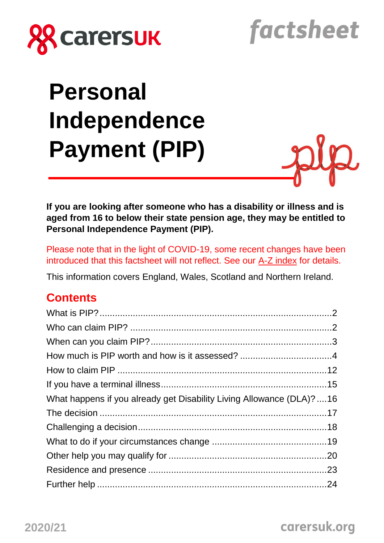

# factsheet

# **Personal Independence Payment (PIP)**

**If you are looking after someone who has a disability or illness and is aged from 16 to below their state pension age, they may be entitled to Personal Independence Payment (PIP).**

Please note that in the light of COVID-19, some recent changes have been introduced that this factsheet will not reflect. See our [A-Z index](https://www.carersuk.org/help-and-advice/coronavirus-covid-19/a-z-of-changes-to-benefits-assessments-and-support-covid-19#sec9) for details.

This information covers England, Wales, Scotland and Northern Ireland.

# **Contents**

| What happens if you already get Disability Living Allowance (DLA)? 16 |  |
|-----------------------------------------------------------------------|--|
|                                                                       |  |
|                                                                       |  |
|                                                                       |  |
|                                                                       |  |
|                                                                       |  |
|                                                                       |  |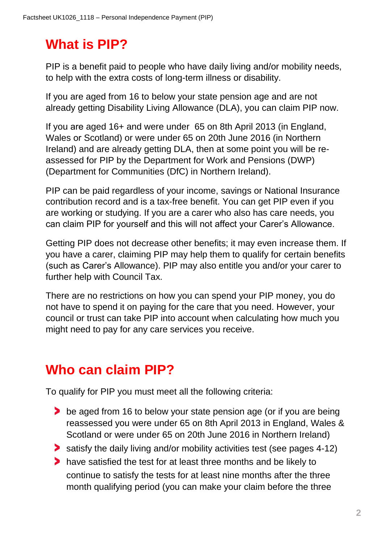# **What is PIP?**

PIP is a benefit paid to people who have daily living and/or mobility needs, to help with the extra costs of long-term illness or disability.

If you are aged from 16 to below your state pension age and are not already getting Disability Living Allowance (DLA), you can claim PIP now.

If you are aged 16+ and were under 65 on 8th April 2013 (in England, Wales or Scotland) or were under 65 on 20th June 2016 (in Northern Ireland) and are already getting DLA, then at some point you will be reassessed for PIP by the Department for Work and Pensions (DWP) (Department for Communities (DfC) in Northern Ireland).

PIP can be paid regardless of your income, savings or National Insurance contribution record and is a tax-free benefit. You can get PIP even if you are working or studying. If you are a carer who also has care needs, you can claim PIP for yourself and this will not affect your Carer's Allowance.

Getting PIP does not decrease other benefits; it may even increase them. If you have a carer, claiming PIP may help them to qualify for certain benefits (such as Carer's Allowance). PIP may also entitle you and/or your carer to further help with Council Tax.

There are no restrictions on how you can spend your PIP money, you do not have to spend it on paying for the care that you need. However, your council or trust can take PIP into account when calculating how much you might need to pay for any care services you receive.

# **Who can claim PIP?**

To qualify for PIP you must meet all the following criteria:

- be aged from 16 to below your state pension age (or if you are being reassessed you were under 65 on 8th April 2013 in England, Wales & Scotland or were under 65 on 20th June 2016 in Northern Ireland)
- satisfy the daily living and/or mobility activities test (see pages 4-12)
- have satisfied the test for at least three months and be likely to continue to satisfy the tests for at least nine months after the three month qualifying period (you can make your claim before the three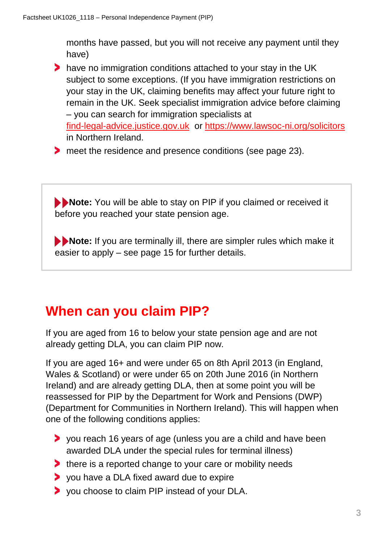months have passed, but you will not receive any payment until they have)

have no immigration conditions attached to your stay in the UK subject to some exceptions. (If you have immigration restrictions on your stay in the UK, claiming benefits may affect your future right to remain in the UK. Seek specialist immigration advice before claiming – you can search for immigration specialists at [find-legal-advice.justice.gov.uk](https://find-legal-advice.justice.gov.uk/) or<https://www.lawsoc-ni.org/solicitors> in Northern Ireland.

**The analysis is example to the residence and presence conditions (see page 23).** 

**Note:** You will be able to stay on PIP if you claimed or received it before you reached your state pension age.

**Note:** If you are terminally ill, there are simpler rules which make it easier to apply – see page 15 for further details.

# **When can you claim PIP?**

If you are aged from 16 to below your state pension age and are not already getting DLA, you can claim PIP now.

If you are aged 16+ and were under 65 on 8th April 2013 (in England, Wales & Scotland) or were under 65 on 20th June 2016 (in Northern Ireland) and are already getting DLA, then at some point you will be reassessed for PIP by the Department for Work and Pensions (DWP) (Department for Communities in Northern Ireland). This will happen when one of the following conditions applies:

- you reach 16 years of age (unless you are a child and have been awarded DLA under the special rules for terminal illness)
- here is a reported change to your care or mobility needs
- you have a DLA fixed award due to expire
- you choose to claim PIP instead of your DLA.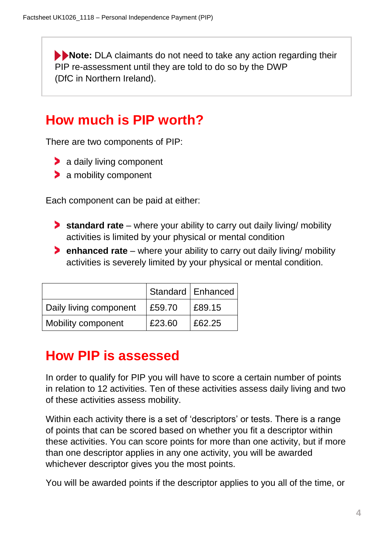**Note:** DLA claimants do not need to take any action regarding their PIP re-assessment until they are told to do so by the DWP (DfC in Northern Ireland).

# **How much is PIP worth?**

There are two components of PIP:

- > a daily living component
- a mobility component

Each component can be paid at either:

- **Standard rate** where your ability to carry out daily living/ mobility activities is limited by your physical or mental condition
- **enhanced rate** where your ability to carry out daily living/ mobility activities is severely limited by your physical or mental condition.

|                               |        | Standard   Enhanced |
|-------------------------------|--------|---------------------|
| <b>Daily living component</b> | £59.70 | E89.15              |
| Mobility component            | £23.60 | £62.25              |

# **How PIP is assessed**

In order to qualify for PIP you will have to score a certain number of points in relation to 12 activities. Ten of these activities assess daily living and two of these activities assess mobility.

Within each activity there is a set of 'descriptors' or tests. There is a range of points that can be scored based on whether you fit a descriptor within these activities. You can score points for more than one activity, but if more than one descriptor applies in any one activity, you will be awarded whichever descriptor gives you the most points.

You will be awarded points if the descriptor applies to you all of the time, or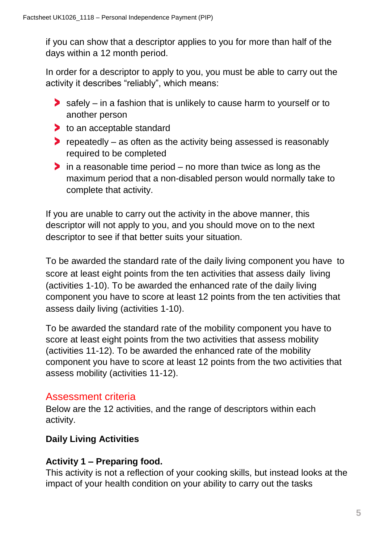if you can show that a descriptor applies to you for more than half of the days within a 12 month period.

In order for a descriptor to apply to you, you must be able to carry out the activity it describes "reliably", which means:

- $\blacktriangleright$  safely in a fashion that is unlikely to cause harm to yourself or to another person
- to an acceptable standard
- repeatedly as often as the activity being assessed is reasonably required to be completed
- in a reasonable time period no more than twice as long as the maximum period that a non-disabled person would normally take to complete that activity.

If you are unable to carry out the activity in the above manner, this descriptor will not apply to you, and you should move on to the next descriptor to see if that better suits your situation.

To be awarded the standard rate of the daily living component you have to score at least eight points from the ten activities that assess daily living (activities 1-10). To be awarded the enhanced rate of the daily living component you have to score at least 12 points from the ten activities that assess daily living (activities 1-10).

To be awarded the standard rate of the mobility component you have to score at least eight points from the two activities that assess mobility (activities 11-12). To be awarded the enhanced rate of the mobility component you have to score at least 12 points from the two activities that assess mobility (activities 11-12).

### Assessment criteria

Below are the 12 activities, and the range of descriptors within each activity.

### **Daily Living Activities**

#### **Activity 1 – Preparing food.**

This activity is not a reflection of your cooking skills, but instead looks at the impact of your health condition on your ability to carry out the tasks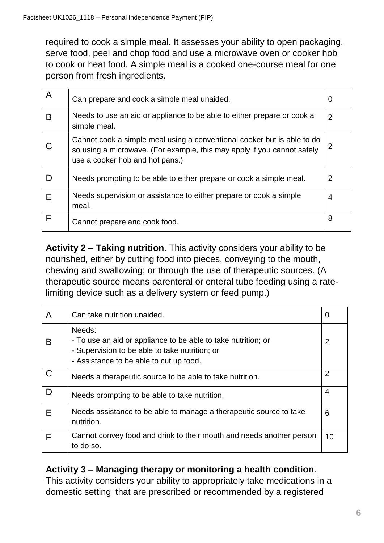required to cook a simple meal. It assesses your ability to open packaging, serve food, peel and chop food and use a microwave oven or cooker hob to cook or heat food. A simple meal is a cooked one-course meal for one person from fresh ingredients.

| A | Can prepare and cook a simple meal unaided.                                                                                                                                           | 0              |
|---|---------------------------------------------------------------------------------------------------------------------------------------------------------------------------------------|----------------|
| B | Needs to use an aid or appliance to be able to either prepare or cook a<br>simple meal.                                                                                               | $\overline{2}$ |
|   | Cannot cook a simple meal using a conventional cooker but is able to do<br>so using a microwave. (For example, this may apply if you cannot safely<br>use a cooker hob and hot pans.) | 2              |
|   | Needs prompting to be able to either prepare or cook a simple meal.                                                                                                                   | 2              |
| Е | Needs supervision or assistance to either prepare or cook a simple<br>meal.                                                                                                           | 4              |
| F | Cannot prepare and cook food.                                                                                                                                                         | 8              |

**Activity 2 – Taking nutrition**. This activity considers your ability to be nourished, either by cutting food into pieces, conveying to the mouth, chewing and swallowing; or through the use of therapeutic sources. (A therapeutic source means parenteral or enteral tube feeding using a ratelimiting device such as a delivery system or feed pump.)

| A | Can take nutrition unaided.                                                                                                                                          | $\Omega$ |
|---|----------------------------------------------------------------------------------------------------------------------------------------------------------------------|----------|
| B | Needs:<br>- To use an aid or appliance to be able to take nutrition; or<br>- Supervision to be able to take nutrition; or<br>- Assistance to be able to cut up food. | 2        |
|   | Needs a therapeutic source to be able to take nutrition.                                                                                                             | 2        |
| D | Needs prompting to be able to take nutrition.                                                                                                                        | 4        |
| Е | Needs assistance to be able to manage a therapeutic source to take<br>nutrition.                                                                                     | 6        |
| F | Cannot convey food and drink to their mouth and needs another person<br>to do so.                                                                                    | 10       |

#### **Activity 3 – Managing therapy or monitoring a health condition**.

This activity considers your ability to appropriately take medications in a domestic setting that are prescribed or recommended by a registered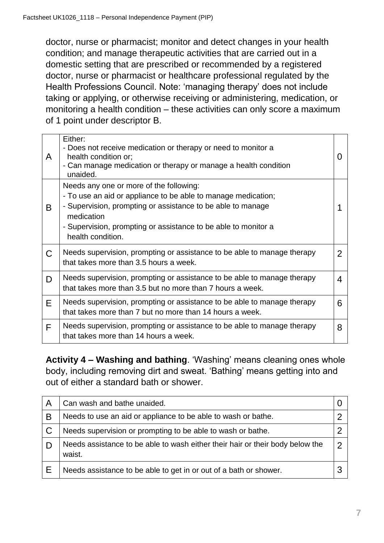doctor, nurse or pharmacist; monitor and detect changes in your health condition; and manage therapeutic activities that are carried out in a domestic setting that are prescribed or recommended by a registered doctor, nurse or pharmacist or healthcare professional regulated by the Health Professions Council. Note: 'managing therapy' does not include taking or applying, or otherwise receiving or administering, medication, or monitoring a health condition – these activities can only score a maximum of 1 point under descriptor B.

| A            | Either:<br>- Does not receive medication or therapy or need to monitor a<br>health condition or:<br>- Can manage medication or therapy or manage a health condition<br>unaided.                                                                                              | 0 |
|--------------|------------------------------------------------------------------------------------------------------------------------------------------------------------------------------------------------------------------------------------------------------------------------------|---|
| B            | Needs any one or more of the following:<br>- To use an aid or appliance to be able to manage medication;<br>- Supervision, prompting or assistance to be able to manage<br>medication<br>- Supervision, prompting or assistance to be able to monitor a<br>health condition. |   |
| $\mathsf{C}$ | Needs supervision, prompting or assistance to be able to manage therapy<br>that takes more than 3.5 hours a week.                                                                                                                                                            |   |
| D            | Needs supervision, prompting or assistance to be able to manage therapy<br>that takes more than 3.5 but no more than 7 hours a week.                                                                                                                                         | 4 |
| Е            | Needs supervision, prompting or assistance to be able to manage therapy<br>that takes more than 7 but no more than 14 hours a week.                                                                                                                                          | 6 |
| F            | Needs supervision, prompting or assistance to be able to manage therapy<br>that takes more than 14 hours a week.                                                                                                                                                             | 8 |

**Activity 4 – Washing and bathing**. 'Washing' means cleaning ones whole body, including removing dirt and sweat. 'Bathing' means getting into and out of either a standard bath or shower.

| A | Can wash and bathe unaided.                                                             |  |
|---|-----------------------------------------------------------------------------------------|--|
| B | Needs to use an aid or appliance to be able to wash or bathe.                           |  |
|   | Needs supervision or prompting to be able to wash or bathe.                             |  |
|   | Needs assistance to be able to wash either their hair or their body below the<br>waist. |  |
| Е | Needs assistance to be able to get in or out of a bath or shower.                       |  |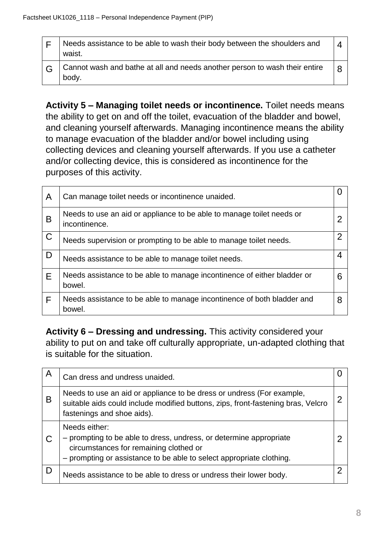| Needs assistance to be able to wash their body between the shoulders and<br>waist.  |  |
|-------------------------------------------------------------------------------------|--|
| Cannot wash and bathe at all and needs another person to wash their entire<br>body. |  |

**Activity 5 – Managing toilet needs or incontinence.** Toilet needs means the ability to get on and off the toilet, evacuation of the bladder and bowel, and cleaning yourself afterwards. Managing incontinence means the ability to manage evacuation of the bladder and/or bowel including using collecting devices and cleaning yourself afterwards. If you use a catheter and/or collecting device, this is considered as incontinence for the purposes of this activity.

| A            | Can manage toilet needs or incontinence unaided.                                       |   |
|--------------|----------------------------------------------------------------------------------------|---|
| B            | Needs to use an aid or appliance to be able to manage toilet needs or<br>incontinence. |   |
| $\mathsf{C}$ | Needs supervision or prompting to be able to manage toilet needs.                      | 2 |
| D            | Needs assistance to be able to manage toilet needs.                                    | 4 |
| E            | Needs assistance to be able to manage incontinence of either bladder or<br>bowel.      |   |
| F            | Needs assistance to be able to manage incontinence of both bladder and<br>bowel.       |   |

**Activity 6 – Dressing and undressing.** This activity considered your ability to put on and take off culturally appropriate, un-adapted clothing that is suitable for the situation.

| A | Can dress and undress unaided.                                                                                                                                                                        |   |
|---|-------------------------------------------------------------------------------------------------------------------------------------------------------------------------------------------------------|---|
| B | Needs to use an aid or appliance to be dress or undress (For example,<br>suitable aids could include modified buttons, zips, front-fastening bras, Velcro<br>fastenings and shoe aids).               | 2 |
|   | Needs either:<br>- prompting to be able to dress, undress, or determine appropriate<br>circumstances for remaining clothed or<br>- prompting or assistance to be able to select appropriate clothing. |   |
|   | Needs assistance to be able to dress or undress their lower body.                                                                                                                                     | ⌒ |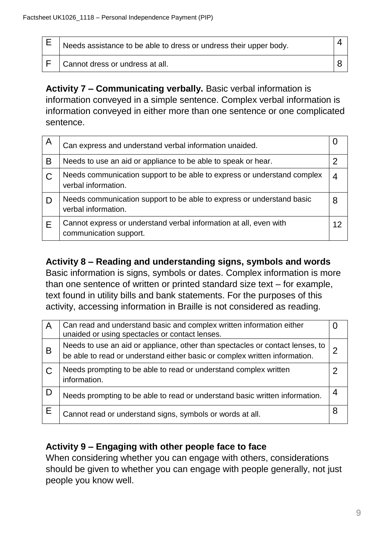|  | Needs assistance to be able to dress or undress their upper body. |  |
|--|-------------------------------------------------------------------|--|
|  | Cannot dress or undress at all.                                   |  |

**Activity 7 – Communicating verbally.** Basic verbal information is information conveyed in a simple sentence. Complex verbal information is information conveyed in either more than one sentence or one complicated sentence.

| A | Can express and understand verbal information unaided.                                         |    |
|---|------------------------------------------------------------------------------------------------|----|
| B | Needs to use an aid or appliance to be able to speak or hear.                                  |    |
| C | Needs communication support to be able to express or understand complex<br>verbal information. | 4  |
|   | Needs communication support to be able to express or understand basic<br>verbal information.   |    |
| Е | Cannot express or understand verbal information at all, even with<br>communication support.    | 12 |

#### **Activity 8 – Reading and understanding signs, symbols and words**

Basic information is signs, symbols or dates. Complex information is more than one sentence of written or printed standard size text – for example, text found in utility bills and bank statements. For the purposes of this activity, accessing information in Braille is not considered as reading.

| $\mathsf{A}$ | Can read and understand basic and complex written information either<br>unaided or using spectacles or contact lenses.                                      |   |
|--------------|-------------------------------------------------------------------------------------------------------------------------------------------------------------|---|
| B            | Needs to use an aid or appliance, other than spectacles or contact lenses, to<br>be able to read or understand either basic or complex written information. |   |
|              | Needs prompting to be able to read or understand complex written<br>information.                                                                            |   |
| D            | Needs prompting to be able to read or understand basic written information.                                                                                 | 4 |
| E            | Cannot read or understand signs, symbols or words at all.                                                                                                   | 8 |

#### **Activity 9 – Engaging with other people face to face**

When considering whether you can engage with others, considerations should be given to whether you can engage with people generally, not just people you know well.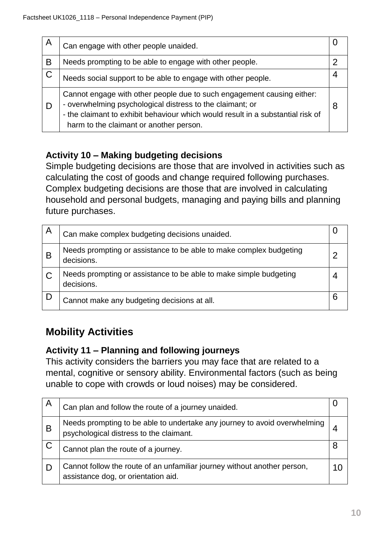| $\overline{A}$ | Can engage with other people unaided.                                                                                                                                                                                                                             |   |
|----------------|-------------------------------------------------------------------------------------------------------------------------------------------------------------------------------------------------------------------------------------------------------------------|---|
| B              | Needs prompting to be able to engage with other people.                                                                                                                                                                                                           |   |
|                | Needs social support to be able to engage with other people.                                                                                                                                                                                                      |   |
|                | Cannot engage with other people due to such engagement causing either:<br>- overwhelming psychological distress to the claimant; or<br>- the claimant to exhibit behaviour which would result in a substantial risk of<br>harm to the claimant or another person. | 8 |

### **Activity 10 – Making budgeting decisions**

Simple budgeting decisions are those that are involved in activities such as calculating the cost of goods and change required following purchases. Complex budgeting decisions are those that are involved in calculating household and personal budgets, managing and paying bills and planning future purchases.

| $\overline{A}$ | Can make complex budgeting decisions unaided.                                    |  |
|----------------|----------------------------------------------------------------------------------|--|
| B              | Needs prompting or assistance to be able to make complex budgeting<br>decisions. |  |
|                | Needs prompting or assistance to be able to make simple budgeting<br>decisions.  |  |
|                | Cannot make any budgeting decisions at all.                                      |  |

# **Mobility Activities**

#### **Activity 11 – Planning and following journeys**

This activity considers the barriers you may face that are related to a mental, cognitive or sensory ability. Environmental factors (such as being unable to cope with crowds or loud noises) may be considered.

| $\overline{A}$ | Can plan and follow the route of a journey unaided.                                                                  |  |
|----------------|----------------------------------------------------------------------------------------------------------------------|--|
| B              | Needs prompting to be able to undertake any journey to avoid overwhelming<br>psychological distress to the claimant. |  |
|                | Cannot plan the route of a journey.                                                                                  |  |
|                | Cannot follow the route of an unfamiliar journey without another person,<br>assistance dog, or orientation aid.      |  |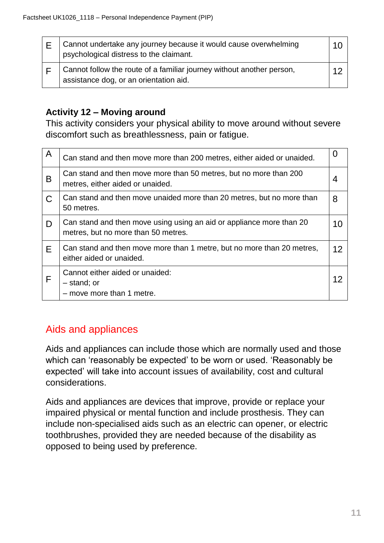|  | Cannot undertake any journey because it would cause overwhelming<br>psychological distress to the claimant.     | 10 |
|--|-----------------------------------------------------------------------------------------------------------------|----|
|  | Cannot follow the route of a familiar journey without another person,<br>assistance dog, or an orientation aid. | イク |

#### **Activity 12 – Moving around**

This activity considers your physical ability to move around without severe discomfort such as breathlessness, pain or fatigue.

| A | Can stand and then move more than 200 metres, either aided or unaided.                                      |    |
|---|-------------------------------------------------------------------------------------------------------------|----|
| B | Can stand and then move more than 50 metres, but no more than 200<br>metres, either aided or unaided.       |    |
| C | Can stand and then move unaided more than 20 metres, but no more than<br>50 metres.                         | 8  |
| D | Can stand and then move using using an aid or appliance more than 20<br>metres, but no more than 50 metres. |    |
| Е | Can stand and then move more than 1 metre, but no more than 20 metres,<br>either aided or unaided.          | 12 |
| F | Cannot either aided or unaided:<br>- stand; or<br>$-$ move more than 1 metre.                               |    |

## Aids and appliances

Aids and appliances can include those which are normally used and those which can 'reasonably be expected' to be worn or used. 'Reasonably be expected' will take into account issues of availability, cost and cultural considerations.

Aids and appliances are devices that improve, provide or replace your impaired physical or mental function and include prosthesis. They can include non-specialised aids such as an electric can opener, or electric toothbrushes, provided they are needed because of the disability as opposed to being used by preference.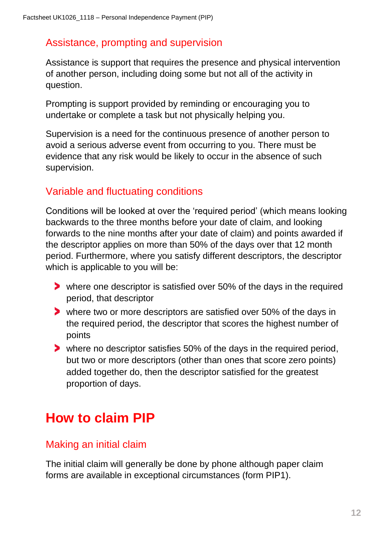### Assistance, prompting and supervision

Assistance is support that requires the presence and physical intervention of another person, including doing some but not all of the activity in question.

Prompting is support provided by reminding or encouraging you to undertake or complete a task but not physically helping you.

Supervision is a need for the continuous presence of another person to avoid a serious adverse event from occurring to you. There must be evidence that any risk would be likely to occur in the absence of such supervision.

### Variable and fluctuating conditions

Conditions will be looked at over the 'required period' (which means looking backwards to the three months before your date of claim, and looking forwards to the nine months after your date of claim) and points awarded if the descriptor applies on more than 50% of the days over that 12 month period. Furthermore, where you satisfy different descriptors, the descriptor which is applicable to you will be:

- where one descriptor is satisfied over 50% of the days in the required period, that descriptor
- where two or more descriptors are satisfied over 50% of the days in the required period, the descriptor that scores the highest number of points
- where no descriptor satisfies 50% of the days in the required period, but two or more descriptors (other than ones that score zero points) added together do, then the descriptor satisfied for the greatest proportion of days.

# **How to claim PIP**

### Making an initial claim

The initial claim will generally be done by phone although paper claim forms are available in exceptional circumstances (form PIP1).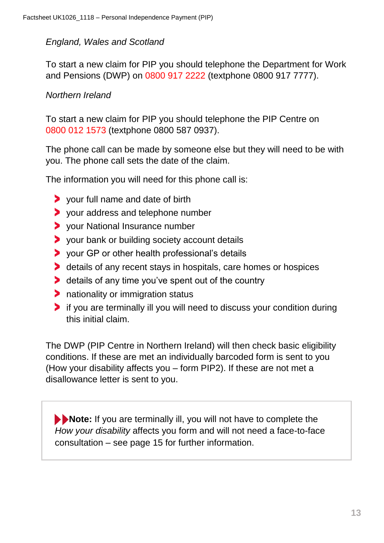#### *England, Wales and Scotland*

To start a new claim for PIP you should telephone the Department for Work and Pensions (DWP) on 0800 917 2222 (textphone 0800 917 7777).

#### *Northern Ireland*

To start a new claim for PIP you should telephone the PIP Centre on 0800 012 1573 (textphone 0800 587 0937).

The phone call can be made by someone else but they will need to be with you. The phone call sets the date of the claim.

The information you will need for this phone call is:

- your full name and date of birth
- your address and telephone number
- your National Insurance number
- your bank or building society account details
- your GP or other health professional's details
- details of any recent stays in hospitals, care homes or hospices
- details of any time you've spent out of the country
- **hatter in the internation status**
- if you are terminally ill you will need to discuss your condition during this initial claim.

The DWP (PIP Centre in Northern Ireland) will then check basic eligibility conditions. If these are met an individually barcoded form is sent to you (How your disability affects you – form PIP2). If these are not met a disallowance letter is sent to you.

**Note:** If you are terminally ill, you will not have to complete the *How your disability* affects you form and will not need a face-to-face consultation – see page 15 for further information.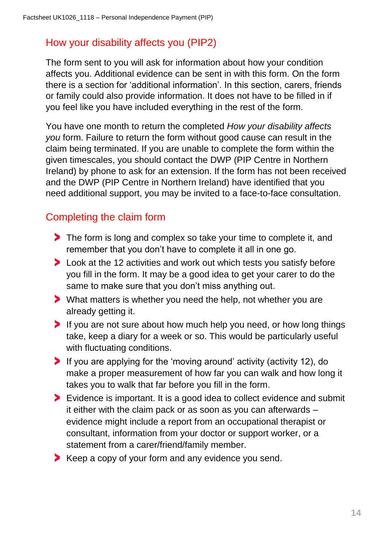# How your disability affects you (PIP2)

The form sent to you will ask for information about how your condition affects you. Additional evidence can be sent in with this form. On the form there is a section for 'additional information'. In this section, carers, friends or family could also provide information. It does not have to be filled in if you feel like you have included everything in the rest of the form.

You have one month to return the completed *How your disability affects you* form. Failure to return the form without good cause can result in the claim being terminated. If you are unable to complete the form within the given timescales, you should contact the DWP (PIP Centre in Northern Ireland) by phone to ask for an extension. If the form has not been received and the DWP (PIP Centre in Northern Ireland) have identified that you need additional support, you may be invited to a face-to-face consultation.

## Completing the claim form

- The form is long and complex so take your time to complete it, and remember that you don't have to complete it all in one go.
- **Look at the 12 activities and work out which tests you satisfy before** you fill in the form. It may be a good idea to get your carer to do the same to make sure that you don't miss anything out.
- What matters is whether you need the help, not whether you are already getting it.
- If you are not sure about how much help you need, or how long things take, keep a diary for a week or so. This would be particularly useful with fluctuating conditions.
- If you are applying for the 'moving around' activity (activity 12), do make a proper measurement of how far you can walk and how long it takes you to walk that far before you fill in the form.
- Evidence is important. It is a good idea to collect evidence and submit it either with the claim pack or as soon as you can afterwards – evidence might include a report from an occupational therapist or consultant, information from your doctor or support worker, or a statement from a carer/friend/family member.
- Keep a copy of your form and any evidence you send.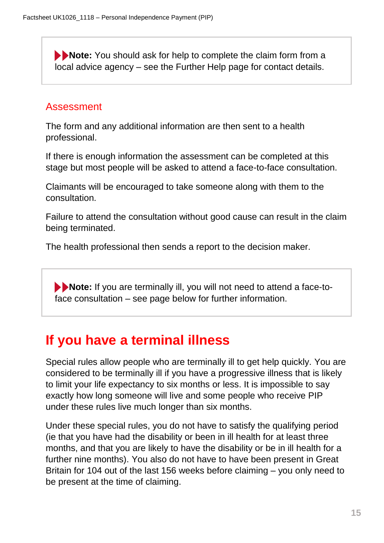**Note:** You should ask for help to complete the claim form from a local advice agency – see the Further Help page for contact details.

### Assessment

The form and any additional information are then sent to a health professional.

If there is enough information the assessment can be completed at this stage but most people will be asked to attend a face-to-face consultation.

Claimants will be encouraged to take someone along with them to the consultation.

Failure to attend the consultation without good cause can result in the claim being terminated.

The health professional then sends a report to the decision maker.

**Note:** If you are terminally ill, you will not need to attend a face-toface consultation – see page below for further information.

# **If you have a terminal illness**

Special rules allow people who are terminally ill to get help quickly. You are considered to be terminally ill if you have a progressive illness that is likely to limit your life expectancy to six months or less. It is impossible to say exactly how long someone will live and some people who receive PIP under these rules live much longer than six months.

Under these special rules, you do not have to satisfy the qualifying period (ie that you have had the disability or been in ill health for at least three months, and that you are likely to have the disability or be in ill health for a further nine months). You also do not have to have been present in Great Britain for 104 out of the last 156 weeks before claiming – you only need to be present at the time of claiming.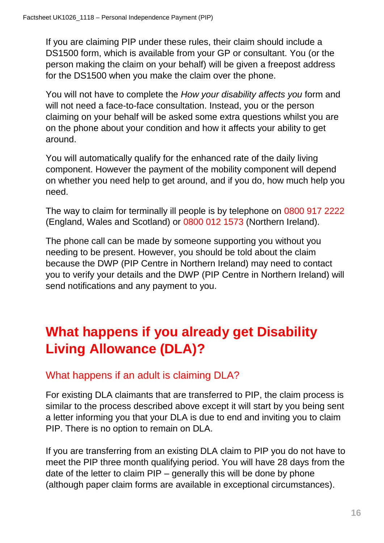If you are claiming PIP under these rules, their claim should include a DS1500 form, which is available from your GP or consultant. You (or the person making the claim on your behalf) will be given a freepost address for the DS1500 when you make the claim over the phone.

You will not have to complete the *How your disability affects you* form and will not need a face-to-face consultation. Instead, you or the person claiming on your behalf will be asked some extra questions whilst you are on the phone about your condition and how it affects your ability to get around.

You will automatically qualify for the enhanced rate of the daily living component. However the payment of the mobility component will depend on whether you need help to get around, and if you do, how much help you need.

The way to claim for terminally ill people is by telephone on 0800 917 2222 (England, Wales and Scotland) or 0800 012 1573 (Northern Ireland).

The phone call can be made by someone supporting you without you needing to be present. However, you should be told about the claim because the DWP (PIP Centre in Northern Ireland) may need to contact you to verify your details and the DWP (PIP Centre in Northern Ireland) will send notifications and any payment to you.

# **What happens if you already get Disability Living Allowance (DLA)?**

## What happens if an adult is claiming DLA?

For existing DLA claimants that are transferred to PIP, the claim process is similar to the process described above except it will start by you being sent a letter informing you that your DLA is due to end and inviting you to claim PIP. There is no option to remain on DLA.

If you are transferring from an existing DLA claim to PIP you do not have to meet the PIP three month qualifying period. You will have 28 days from the date of the letter to claim PIP – generally this will be done by phone (although paper claim forms are available in exceptional circumstances).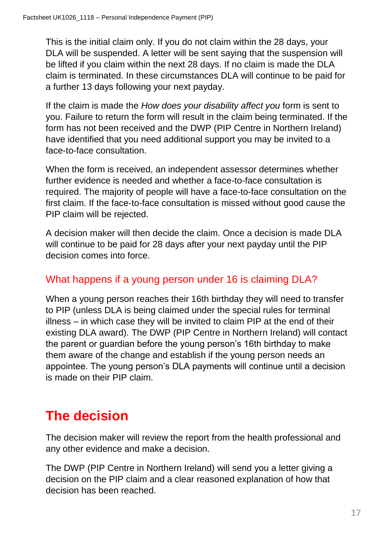This is the initial claim only. If you do not claim within the 28 days, your DLA will be suspended. A letter will be sent saying that the suspension will be lifted if you claim within the next 28 days. If no claim is made the DLA claim is terminated. In these circumstances DLA will continue to be paid for a further 13 days following your next payday.

If the claim is made the *How does your disability affect you* form is sent to you. Failure to return the form will result in the claim being terminated. If the form has not been received and the DWP (PIP Centre in Northern Ireland) have identified that you need additional support you may be invited to a face-to-face consultation.

When the form is received, an independent assessor determines whether further evidence is needed and whether a face-to-face consultation is required. The majority of people will have a face-to-face consultation on the first claim. If the face-to-face consultation is missed without good cause the PIP claim will be rejected.

A decision maker will then decide the claim. Once a decision is made DLA will continue to be paid for 28 days after your next payday until the PIP decision comes into force.

## What happens if a young person under 16 is claiming DLA?

When a young person reaches their 16th birthday they will need to transfer to PIP (unless DLA is being claimed under the special rules for terminal illness – in which case they will be invited to claim PIP at the end of their existing DLA award). The DWP (PIP Centre in Northern Ireland) will contact the parent or guardian before the young person's 16th birthday to make them aware of the change and establish if the young person needs an appointee. The young person's DLA payments will continue until a decision is made on their PIP claim.

# **The decision**

The decision maker will review the report from the health professional and any other evidence and make a decision.

The DWP (PIP Centre in Northern Ireland) will send you a letter giving a decision on the PIP claim and a clear reasoned explanation of how that decision has been reached.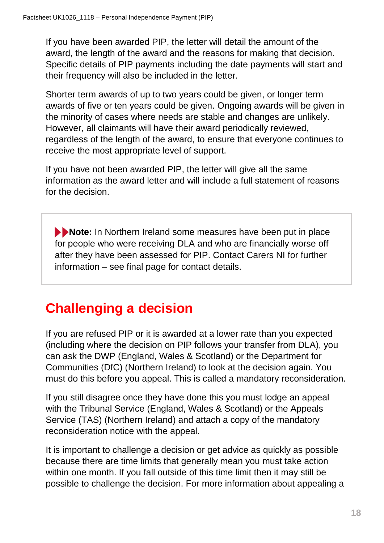If you have been awarded PIP, the letter will detail the amount of the award, the length of the award and the reasons for making that decision. Specific details of PIP payments including the date payments will start and their frequency will also be included in the letter.

Shorter term awards of up to two years could be given, or longer term awards of five or ten years could be given. Ongoing awards will be given in the minority of cases where needs are stable and changes are unlikely. However, all claimants will have their award periodically reviewed, regardless of the length of the award, to ensure that everyone continues to receive the most appropriate level of support.

If you have not been awarded PIP, the letter will give all the same information as the award letter and will include a full statement of reasons for the decision.

**Note:** In Northern Ireland some measures have been put in place for people who were receiving DLA and who are financially worse off after they have been assessed for PIP. Contact Carers NI for further information – see final page for contact details.

# **Challenging a decision**

If you are refused PIP or it is awarded at a lower rate than you expected (including where the decision on PIP follows your transfer from DLA), you can ask the DWP (England, Wales & Scotland) or the Department for Communities (DfC) (Northern Ireland) to look at the decision again. You must do this before you appeal. This is called a mandatory reconsideration.

If you still disagree once they have done this you must lodge an appeal with the Tribunal Service (England, Wales & Scotland) or the Appeals Service (TAS) (Northern Ireland) and attach a copy of the mandatory reconsideration notice with the appeal.

It is important to challenge a decision or get advice as quickly as possible because there are time limits that generally mean you must take action within one month. If you fall outside of this time limit then it may still be possible to challenge the decision. For more information about appealing a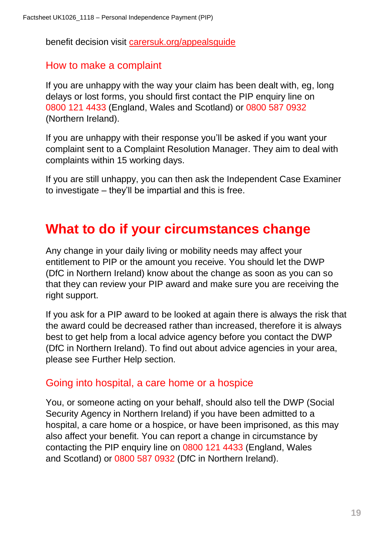benefit decision visit [carersuk.org/appealsguide](https://www.carersuk.org/help-and-advice/financial-support/help-with-benefits/challenging-a-benefit-decision)

### How to make a complaint

If you are unhappy with the way your claim has been dealt with, eg, long delays or lost forms, you should first contact the PIP enquiry line on 0800 121 4433 (England, Wales and Scotland) or 0800 587 0932 (Northern Ireland).

If you are unhappy with their response you'll be asked if you want your complaint sent to a Complaint Resolution Manager. They aim to deal with complaints within 15 working days.

If you are still unhappy, you can then ask the Independent Case Examiner to investigate – they'll be impartial and this is free.

# **What to do if your circumstances change**

Any change in your daily living or mobility needs may affect your entitlement to PIP or the amount you receive. You should let the DWP (DfC in Northern Ireland) know about the change as soon as you can so that they can review your PIP award and make sure you are receiving the right support.

If you ask for a PIP award to be looked at again there is always the risk that the award could be decreased rather than increased, therefore it is always best to get help from a local advice agency before you contact the DWP (DfC in Northern Ireland). To find out about advice agencies in your area, please see Further Help section.

### Going into hospital, a care home or a hospice

You, or someone acting on your behalf, should also tell the DWP (Social Security Agency in Northern Ireland) if you have been admitted to a hospital, a care home or a hospice, or have been imprisoned, as this may also affect your benefit. You can report a change in circumstance by contacting the PIP enquiry line on 0800 121 4433 (England, Wales and Scotland) or 0800 587 0932 (DfC in Northern Ireland).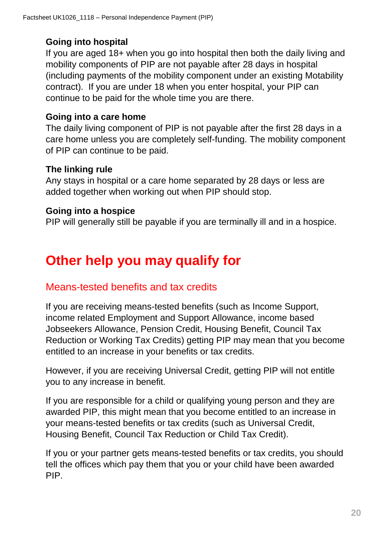#### **Going into hospital**

If you are aged 18+ when you go into hospital then both the daily living and mobility components of PIP are not payable after 28 days in hospital (including payments of the mobility component under an existing Motability contract). If you are under 18 when you enter hospital, your PIP can continue to be paid for the whole time you are there.

#### **Going into a care home**

The daily living component of PIP is not payable after the first 28 days in a care home unless you are completely self-funding. The mobility component of PIP can continue to be paid.

#### **The linking rule**

Any stays in hospital or a care home separated by 28 days or less are added together when working out when PIP should stop.

#### **Going into a hospice**

PIP will generally still be payable if you are terminally ill and in a hospice.

# **Other help you may qualify for**

### Means-tested benefits and tax credits

If you are receiving means-tested benefits (such as Income Support, income related Employment and Support Allowance, income based Jobseekers Allowance, Pension Credit, Housing Benefit, Council Tax Reduction or Working Tax Credits) getting PIP may mean that you become entitled to an increase in your benefits or tax credits.

However, if you are receiving Universal Credit, getting PIP will not entitle you to any increase in benefit.

If you are responsible for a child or qualifying young person and they are awarded PIP, this might mean that you become entitled to an increase in your means-tested benefits or tax credits (such as Universal Credit, Housing Benefit, Council Tax Reduction or Child Tax Credit).

If you or your partner gets means-tested benefits or tax credits, you should tell the offices which pay them that you or your child have been awarded PIP.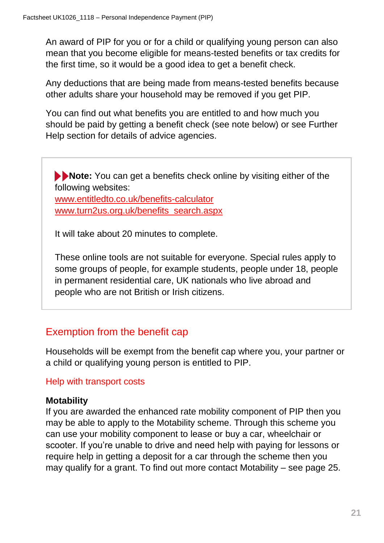An award of PIP for you or for a child or qualifying young person can also mean that you become eligible for means-tested benefits or tax credits for the first time, so it would be a good idea to get a benefit check.

Any deductions that are being made from means-tested benefits because other adults share your household may be removed if you get PIP.

You can find out what benefits you are entitled to and how much you should be paid by getting a benefit check (see note below) or see Further Help section for details of advice agencies.

**Note:** You can get a benefits check online by visiting either of the following websites:

[www.entitledto.co.uk/benefits-calculator](https://www.entitledto.co.uk/benefits-calculator/Intro/Home?cid=56af79e1-ae1f-4ffb-987b-96a968014d48) [www.turn2us.org.uk/benefits\\_search.aspx](https://www.turn2us.org.uk/benefits_search.aspx)

It will take about 20 minutes to complete.

These online tools are not suitable for everyone. Special rules apply to some groups of people, for example students, people under 18, people in permanent residential care, UK nationals who live abroad and people who are not British or Irish citizens.

# Exemption from the benefit cap

Households will be exempt from the benefit cap where you, your partner or a child or qualifying young person is entitled to PIP.

#### Help with transport costs

#### **Motability**

If you are awarded the enhanced rate mobility component of PIP then you may be able to apply to the Motability scheme. Through this scheme you can use your mobility component to lease or buy a car, wheelchair or scooter. If you're unable to drive and need help with paying for lessons or require help in getting a deposit for a car through the scheme then you may qualify for a grant. To find out more contact Motability – see page 25.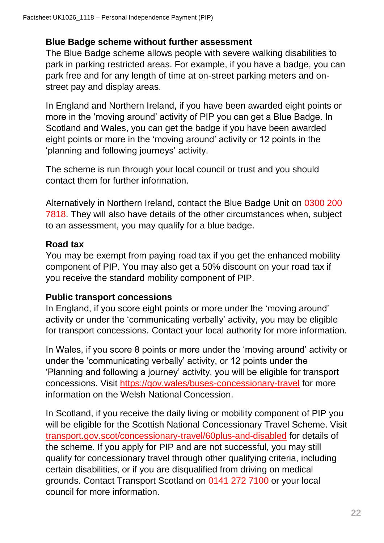#### **Blue Badge scheme without further assessment**

The Blue Badge scheme allows people with severe walking disabilities to park in parking restricted areas. For example, if you have a badge, you can park free and for any length of time at on-street parking meters and onstreet pay and display areas.

In England and Northern Ireland, if you have been awarded eight points or more in the 'moving around' activity of PIP you can get a Blue Badge. In Scotland and Wales, you can get the badge if you have been awarded eight points or more in the 'moving around' activity or 12 points in the 'planning and following journeys' activity.

The scheme is run through your local council or trust and you should contact them for further information.

Alternatively in Northern Ireland, contact the Blue Badge Unit on 0300 200 7818. They will also have details of the other circumstances when, subject to an assessment, you may qualify for a blue badge.

#### **Road tax**

You may be exempt from paying road tax if you get the enhanced mobility component of PIP. You may also get a 50% discount on your road tax if you receive the standard mobility component of PIP.

#### **Public transport concessions**

In England, if you score eight points or more under the 'moving around' activity or under the 'communicating verbally' activity, you may be eligible for transport concessions. Contact your local authority for more information.

In Wales, if you score 8 points or more under the 'moving around' activity or under the 'communicating verbally' activity, or 12 points under the 'Planning and following a journey' activity, you will be eligible for transport concessions. Visit<https://gov.wales/buses-concessionary-travel> for more information on the Welsh National Concession.

In Scotland, if you receive the daily living or mobility component of PIP you will be eligible for the Scottish National Concessionary Travel Scheme. Visit [transport.gov.scot/concessionary-travel/60plus-and-disabled](https://www.transport.gov.scot/concessionary-travel/60plus-and-disabled/) for details of the scheme. If you apply for PIP and are not successful, you may still qualify for concessionary travel through other qualifying criteria, including certain disabilities, or if you are disqualified from driving on medical grounds. Contact Transport Scotland on 0141 272 7100 or your local council for more information.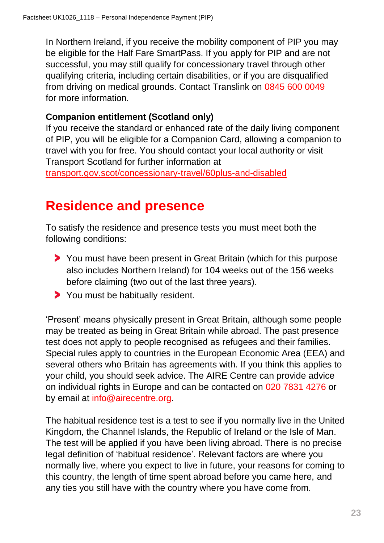In Northern Ireland, if you receive the mobility component of PIP you may be eligible for the Half Fare SmartPass. If you apply for PIP and are not successful, you may still qualify for concessionary travel through other qualifying criteria, including certain disabilities, or if you are disqualified from driving on medical grounds. Contact Translink on 0845 600 0049 for more information.

### **Companion entitlement (Scotland only)**

If you receive the standard or enhanced rate of the daily living component of PIP, you will be eligible for a Companion Card, allowing a companion to travel with you for free. You should contact your local authority or visit Transport Scotland for further information at

[transport.gov.scot/concessionary-travel/60plus-and-disabled](https://www.transport.gov.scot/concessionary-travel/60plus-and-disabled/)

# **Residence and presence**

To satisfy the residence and presence tests you must meet both the following conditions:

- You must have been present in Great Britain (which for this purpose also includes Northern Ireland) for 104 weeks out of the 156 weeks before claiming (two out of the last three years).
- You must be habitually resident.

'Present' means physically present in Great Britain, although some people may be treated as being in Great Britain while abroad. The past presence test does not apply to people recognised as refugees and their families. Special rules apply to countries in the European Economic Area (EEA) and several others who Britain has agreements with. If you think this applies to your child, you should seek advice. The AIRE Centre can provide advice on individual rights in Europe and can be contacted on 020 7831 4276 or by email at [info@airecentre.org.](mailto:info@airecentre.org)

The habitual residence test is a test to see if you normally live in the United Kingdom, the Channel Islands, the Republic of Ireland or the Isle of Man. The test will be applied if you have been living abroad. There is no precise legal definition of 'habitual residence'. Relevant factors are where you normally live, where you expect to live in future, your reasons for coming to this country, the length of time spent abroad before you came here, and any ties you still have with the country where you have come from.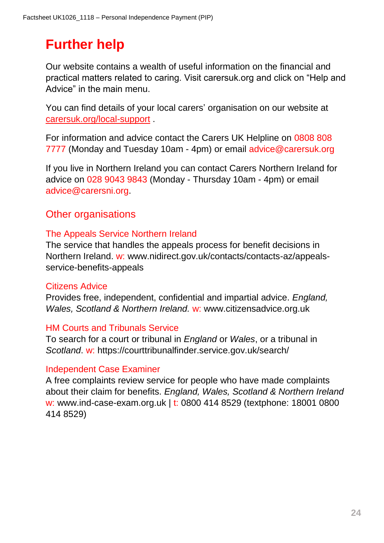# **Further help**

Our website contains a wealth of useful information on the financial and practical matters related to caring. Visit carersuk.org and click on "Help and Advice" in the main menu.

You can find details of your local carers' organisation on our website at [carersuk.org/local-support](https://www.carersuk.org/help-and-advice/get-support/local-support/dorset-carers-hub) .

For information and advice contact the Carers UK Helpline on 0808 808 7777 (Monday and Tuesday 10am - 4pm) or email advice@carersuk.org

If you live in Northern Ireland you can contact Carers Northern Ireland for advice on 028 9043 9843 (Monday - Thursday 10am - 4pm) or email advice@carersni.org.

## Other organisations

#### The Appeals Service Northern Ireland

The service that handles the appeals process for benefit decisions in Northern Ireland. w: www.nidirect.gov.uk/contacts/contacts-az/appealsservice-benefits-appeals

#### Citizens Advice

Provides free, independent, confidential and impartial advice. *England, Wales, Scotland & Northern Ireland.* w: www.citizensadvice.org.uk

#### HM Courts and Tribunals Service

To search for a court or tribunal in *England* or *Wales*, or a tribunal in *Scotland*. w: https://courttribunalfinder.service.gov.uk/search/

#### Independent Case Examiner

A free complaints review service for people who have made complaints about their claim for benefits. *England, Wales, Scotland & Northern Ireland* w: www.ind-case-exam.org.uk | t: 0800 414 8529 (textphone: 18001 0800 414 8529)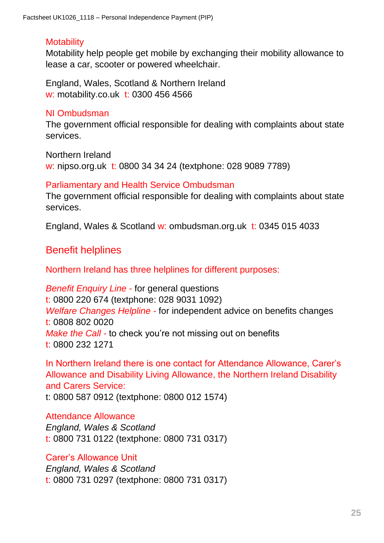#### **Motability**

Motability help people get mobile by exchanging their mobility allowance to lease a car, scooter or powered wheelchair.

England, Wales, Scotland & Northern Ireland w: motability.co.uk t: 0300 456 4566

#### NI Ombudsman

The government official responsible for dealing with complaints about state services.

Northern Ireland w: nipso.org.uk t: 0800 34 34 24 (textphone: 028 9089 7789)

#### Parliamentary and Health Service Ombudsman

The government official responsible for dealing with complaints about state services.

England, Wales & Scotland w: ombudsman.org.uk t: 0345 015 4033

### Benefit helplines

Northern Ireland has three helplines for different purposes:

*Benefit Enquiry Line* - for general questions t: 0800 220 674 (textphone: 028 9031 1092) *Welfare Changes Helpline* - for independent advice on benefits changes t: 0808 802 0020 *Make the Call* - to check you're not missing out on benefits t: 0800 232 1271

In Northern Ireland there is one contact for Attendance Allowance, Carer's Allowance and Disability Living Allowance, the Northern Ireland Disability and Carers Service: t: 0800 587 0912 (textphone: 0800 012 1574)

Attendance Allowance *England, Wales & Scotland* t: 0800 731 0122 (textphone: 0800 731 0317)

Carer's Allowance Unit *England, Wales & Scotland* t: 0800 731 0297 (textphone: 0800 731 0317)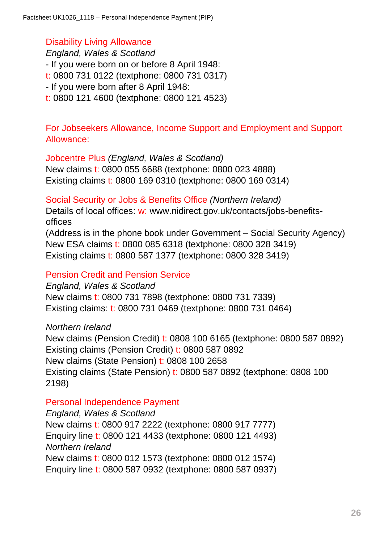#### Disability Living Allowance

*England, Wales & Scotland* - If you were born on or before 8 April 1948:

- t: 0800 731 0122 (textphone: 0800 731 0317)
- If you were born after 8 April 1948:
- t: 0800 121 4600 (textphone: 0800 121 4523)

For Jobseekers Allowance, Income Support and Employment and Support Allowance:

Jobcentre Plus *(England, Wales & Scotland)* New claims t: 0800 055 6688 (textphone: 0800 023 4888) Existing claims t: 0800 169 0310 (textphone: 0800 169 0314)

#### Social Security or Jobs & Benefits Office *(Northern Ireland)*

Details of local offices: w: [www.nidirect.gov.uk/contacts/jobs-benefits](https://www.nidirect.gov.uk/contacts/jobs-benefits-offices)[offices](https://www.nidirect.gov.uk/contacts/jobs-benefits-offices)

(Address is in the phone book under Government – Social Security Agency) New ESA claims t: 0800 085 6318 (textphone: 0800 328 3419) Existing claims t: 0800 587 1377 (textphone: 0800 328 3419)

#### Pension Credit and Pension Service

*England, Wales & Scotland*

New claims t: 0800 731 7898 (textphone: 0800 731 7339) Existing claims: t: 0800 731 0469 (textphone: 0800 731 0464)

#### *Northern Ireland*

New claims (Pension Credit) t: 0808 100 6165 (textphone: 0800 587 0892) Existing claims (Pension Credit) t: 0800 587 0892 New claims (State Pension) t: 0808 100 2658 Existing claims (State Pension) t: 0800 587 0892 (textphone: 0808 100 2198)

#### Personal Independence Payment

*England, Wales & Scotland* New claims t: 0800 917 2222 (textphone: 0800 917 7777) Enquiry line t: 0800 121 4433 (textphone: 0800 121 4493) *Northern Ireland* New claims t: 0800 012 1573 (textphone: 0800 012 1574) Enquiry line t: 0800 587 0932 (textphone: 0800 587 0937)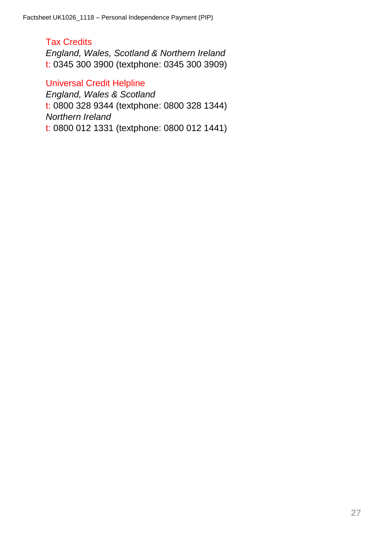Tax Credits *England, Wales, Scotland & Northern Ireland* t: 0345 300 3900 (textphone: 0345 300 3909)

#### Universal Credit Helpline

*England, Wales & Scotland* t: 0800 328 9344 (textphone: 0800 328 1344) *Northern Ireland* t: 0800 012 1331 (textphone: 0800 012 1441)